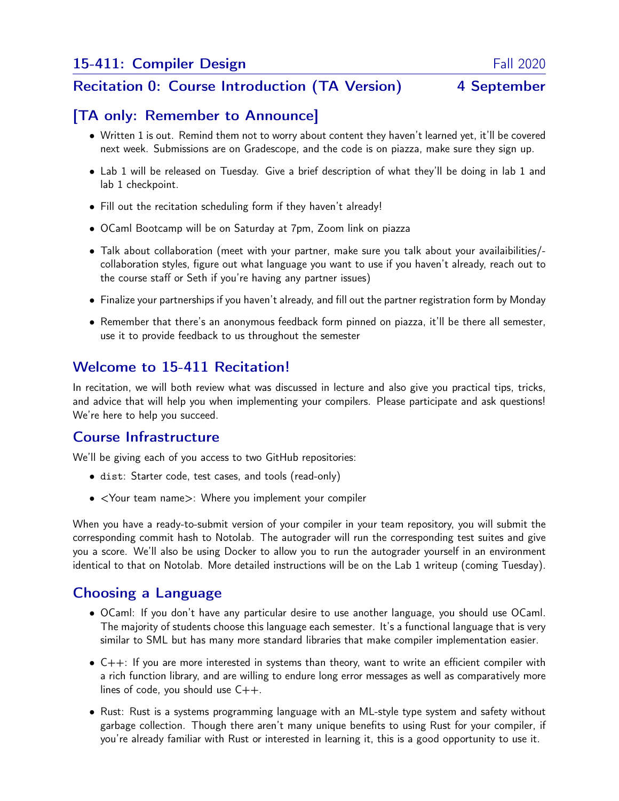#### Recitation 0: Course Introduction (TA Version) 4 September

## [TA only: Remember to Announce]

- Written 1 is out. Remind them not to worry about content they haven't learned yet, it'll be covered next week. Submissions are on Gradescope, and the code is on piazza, make sure they sign up.
- Lab 1 will be released on Tuesday. Give a brief description of what they'll be doing in lab 1 and lab 1 checkpoint.
- Fill out the recitation scheduling form if they haven't already!
- OCaml Bootcamp will be on Saturday at 7pm, Zoom link on piazza
- Talk about collaboration (meet with your partner, make sure you talk about your availaibilities/ collaboration styles, figure out what language you want to use if you haven't already, reach out to the course staff or Seth if you're having any partner issues)
- Finalize your partnerships if you haven't already, and fill out the partner registration form by Monday
- Remember that there's an anonymous feedback form pinned on piazza, it'll be there all semester, use it to provide feedback to us throughout the semester

# Welcome to 15-411 Recitation!

In recitation, we will both review what was discussed in lecture and also give you practical tips, tricks, and advice that will help you when implementing your compilers. Please participate and ask questions! We're here to help you succeed.

#### Course Infrastructure

We'll be giving each of you access to two GitHub repositories:

- dist: Starter code, test cases, and tools (read-only)
- <Your team name>: Where you implement your compiler

When you have a ready-to-submit version of your compiler in your team repository, you will submit the corresponding commit hash to Notolab. The autograder will run the corresponding test suites and give you a score. We'll also be using Docker to allow you to run the autograder yourself in an environment identical to that on Notolab. More detailed instructions will be on the Lab 1 writeup (coming Tuesday).

# Choosing a Language

- OCaml: If you don't have any particular desire to use another language, you should use OCaml. The majority of students choose this language each semester. It's a functional language that is very similar to SML but has many more standard libraries that make compiler implementation easier.
- C++: If you are more interested in systems than theory, want to write an efficient compiler with a rich function library, and are willing to endure long error messages as well as comparatively more lines of code, you should use  $C++$ .
- Rust: Rust is a systems programming language with an ML-style type system and safety without garbage collection. Though there aren't many unique benefits to using Rust for your compiler, if you're already familiar with Rust or interested in learning it, this is a good opportunity to use it.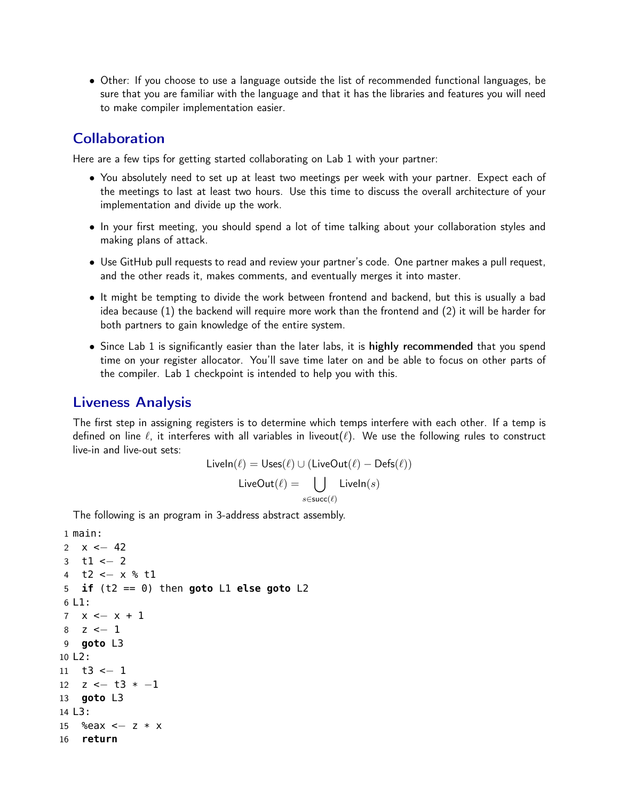• Other: If you choose to use a language outside the list of recommended functional languages, be sure that you are familiar with the language and that it has the libraries and features you will need to make compiler implementation easier.

### **Collaboration**

Here are a few tips for getting started collaborating on Lab 1 with your partner:

- You absolutely need to set up at least two meetings per week with your partner. Expect each of the meetings to last at least two hours. Use this time to discuss the overall architecture of your implementation and divide up the work.
- In your first meeting, you should spend a lot of time talking about your collaboration styles and making plans of attack.
- Use GitHub pull requests to read and review your partner's code. One partner makes a pull request, and the other reads it, makes comments, and eventually merges it into master.
- It might be tempting to divide the work between frontend and backend, but this is usually a bad idea because (1) the backend will require more work than the frontend and (2) it will be harder for both partners to gain knowledge of the entire system.
- Since Lab 1 is significantly easier than the later labs, it is highly recommended that you spend time on your register allocator. You'll save time later on and be able to focus on other parts of the compiler. Lab 1 checkpoint is intended to help you with this.

#### Liveness Analysis

The first step in assigning registers is to determine which temps interfere with each other. If a temp is defined on line  $\ell$ , it interferes with all variables in liveout( $\ell$ ). We use the following rules to construct live-in and live-out sets:

$$
\text{LiveIn}(\ell) = \text{Uses}(\ell) \cup (\text{LiveOut}(\ell) - \text{Defs}(\ell))
$$
\n
$$
\text{LiveOut}(\ell) = \bigcup_{s \in \text{succ}(\ell)} \text{LiveIn}(s)
$$

The following is an program in 3-address abstract assembly.

```
1 main:
2 x \le -423 \text{ } t1 \leftarrow 24 t2 <− x % t1
5 if (t2 == 0) then goto L1 else goto L2
6 L1:
7 x \leftarrow x + 18 z <− 1
9 goto L3
10 L2:
11 t3 \le -112 z \leftarrow t3 * -113 goto L3
14 L3:
15 %eax <− z * x
16 return
```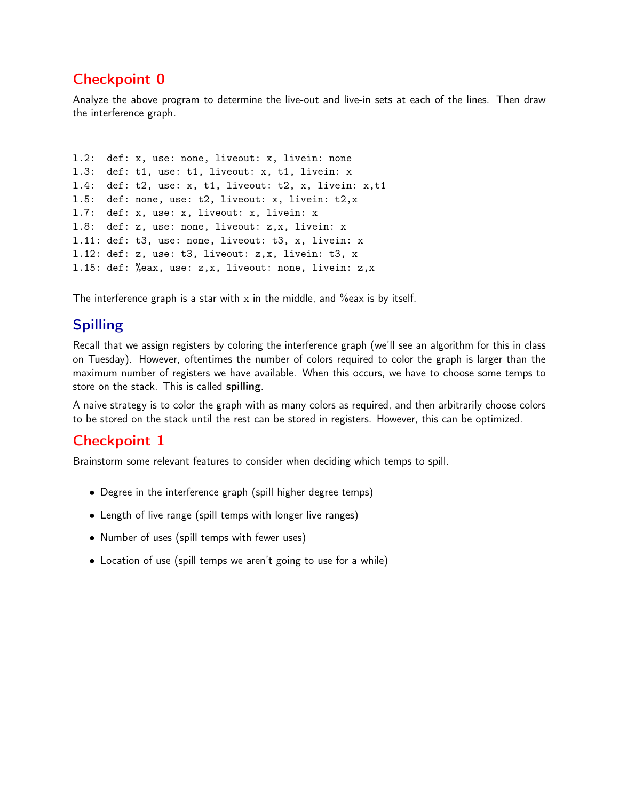# Checkpoint 0

Analyze the above program to determine the live-out and live-in sets at each of the lines. Then draw the interference graph.

```
l.2: def: x, use: none, liveout: x, livein: none
l.3: def: t1, use: t1, liveout: x, t1, livein: x
l.4: def: t2, use: x, t1, liveout: t2, x, livein: x,t1
l.5: def: none, use: t2, liveout: x, livein: t2,x
l.7: def: x, use: x, liveout: x, livein: x
l.8: def: z, use: none, liveout: z,x, livein: x
l.11: def: t3, use: none, liveout: t3, x, livein: x
l.12: def: z, use: t3, liveout: z,x, livein: t3, x
l.15: def: %eax, use: z,x, liveout: none, livein: z,x
```
The interference graph is a star with x in the middle, and %eax is by itself.

# Spilling

Recall that we assign registers by coloring the interference graph (we'll see an algorithm for this in class on Tuesday). However, oftentimes the number of colors required to color the graph is larger than the maximum number of registers we have available. When this occurs, we have to choose some temps to store on the stack. This is called spilling.

A naive strategy is to color the graph with as many colors as required, and then arbitrarily choose colors to be stored on the stack until the rest can be stored in registers. However, this can be optimized.

# Checkpoint 1

Brainstorm some relevant features to consider when deciding which temps to spill.

- Degree in the interference graph (spill higher degree temps)
- Length of live range (spill temps with longer live ranges)
- Number of uses (spill temps with fewer uses)
- Location of use (spill temps we aren't going to use for a while)